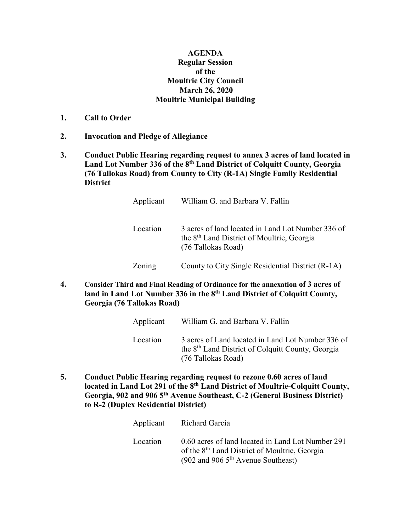## **AGENDA Regular Session of the Moultrie City Council March 26, 2020 Moultrie Municipal Building**

- **1. Call to Order**
- **2. Invocation and Pledge of Allegiance**
- **3. Conduct Public Hearing regarding request to annex 3 acres of land located in Land Lot Number 336 of the 8th Land District of Colquitt County, Georgia (76 Tallokas Road) from County to City (R-1A) Single Family Residential District**

| Applicant | William G. and Barbara V. Fallin                                                                                                  |
|-----------|-----------------------------------------------------------------------------------------------------------------------------------|
| Location  | 3 acres of land located in Land Lot Number 336 of<br>the 8 <sup>th</sup> Land District of Moultrie, Georgia<br>(76 Tallokas Road) |
| Zoning    | County to City Single Residential District (R-1A)                                                                                 |

**4. Consider Third and Final Reading of Ordinance for the annexation of 3 acres of land in Land Lot Number 336 in the 8th Land District of Colquitt County, Georgia (76 Tallokas Road)**

| Applicant | William G. and Barbara V. Fallin                                                                                                         |
|-----------|------------------------------------------------------------------------------------------------------------------------------------------|
| Location  | 3 acres of Land located in Land Lot Number 336 of<br>the 8 <sup>th</sup> Land District of Colquitt County, Georgia<br>(76 Tallokas Road) |

**5. Conduct Public Hearing regarding request to rezone 0.60 acres of land located in Land Lot 291 of the 8th Land District of Moultrie-Colquitt County, Georgia, 902 and 906 5th Avenue Southeast, C-2 (General Business District) to R-2 (Duplex Residential District)**

|          | Applicant Richard Garcia                                                                                                                               |
|----------|--------------------------------------------------------------------------------------------------------------------------------------------------------|
| Location | 0.60 acres of land located in Land Lot Number 291<br>of the 8 <sup>th</sup> Land District of Moultrie, Georgia<br>(902 and 906 $5th$ Avenue Southeast) |